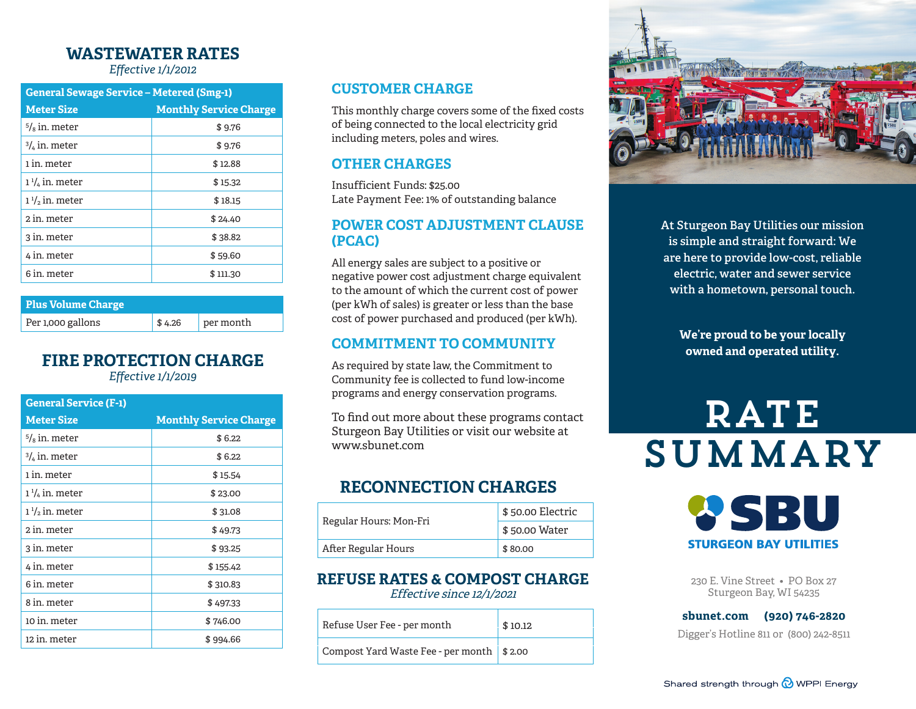# **WASTEWATER RATES**

*Effective 1/1/2012*

| <b>General Sewage Service - Metered (Smg-1)</b> |                               |  |
|-------------------------------------------------|-------------------------------|--|
| <b>Meter Size</b>                               | <b>Monthly Service Charge</b> |  |
| $5\frac{\text{h}}{\text{s}}$ in. meter          | \$9.76                        |  |
| $\frac{3}{4}$ in. meter                         | \$9.76                        |  |
| 1 in. meter                                     | \$12.88                       |  |
| $1\frac{1}{4}$ in. meter                        | \$15.32                       |  |
| $1\frac{1}{2}$ in. meter                        | \$18.15                       |  |
| 2 in. meter                                     | \$24.40                       |  |
| 3 in. meter                                     | \$38.82                       |  |
| 4 in. meter                                     | \$59.60                       |  |
| 6 in. meter                                     | \$ 111.30                     |  |

| Plus Volume Charge |        |           |
|--------------------|--------|-----------|
| Per 1,000 gallons  | \$4.26 | per month |

# **FIRE PROTECTION CHARGE**

*Effective 1/1/2019*

| <b>General Service (F-1)</b> |                               |
|------------------------------|-------------------------------|
| <b>Meter Size</b>            | <b>Monthly Service Charge</b> |
| $\frac{5}{8}$ in. meter      | \$6.22                        |
| $\frac{3}{4}$ in. meter      | \$6.22                        |
| 1 in. meter                  | \$15.54                       |
| $1\frac{1}{4}$ in. meter     | \$23.00                       |
| $1\frac{1}{2}$ in. meter     | \$31.08                       |
| 2 in. meter                  | \$49.73                       |
| 3 in. meter                  | \$93.25                       |
| 4 in. meter                  | \$155.42                      |
| 6 in. meter                  | \$310.83                      |
| 8 in. meter                  | \$497.33                      |
| 10 in. meter                 | \$746.00                      |
| 12 in. meter                 | \$994.66                      |

## **CUSTOMER CHARGE**

This monthly charge covers some of the fixed costs of being connected to the local electricity grid including meters, poles and wires.

## **OTHER CHARGES**

Insufficient Funds: \$25.00 Late Payment Fee: 1% of outstanding balance

## **POWER COST ADJUSTMENT CLAUSE (PCAC)**

All energy sales are subject to a positive or negative power cost adjustment charge equivalent to the amount of which the current cost of power (per kWh of sales) is greater or less than the base cost of power purchased and produced (per kWh).

## **COMMITMENT TO COMMUNITY**

As required by state law, the Commitment to Community fee is collected to fund low-income programs and energy conservation programs.

To find out more about these programs contact Sturgeon Bay Utilities or visit our website at www.sbunet.com

# **RECONNECTION CHARGES**

|                        | \$50.00 Electric |  |
|------------------------|------------------|--|
| Regular Hours: Mon-Fri | \$50.00 Water    |  |
| After Regular Hours    | \$80.00          |  |

#### **REFUSE RATES & COMPOST CHARGE** Effective since 12/1/2021

| Refuse User Fee - per month                 | \$10.12 |
|---------------------------------------------|---------|
| Compost Yard Waste Fee - per month   \$2.00 |         |



**At Sturgeon Bay Utilities our mission is simple and straight forward: We are here to provide low-cost, reliable electric, water and sewer service with a hometown, personal touch.**

**We're proud to be your locally owned and operated utility.**

# SUMMARY **RATE**



230 E. Vine Street • PO Box 27 Sturgeon Bay, WI 54235

**sbunet.com (920) 746-2820**

Digger's Hotline 811 or (800) 242-8511